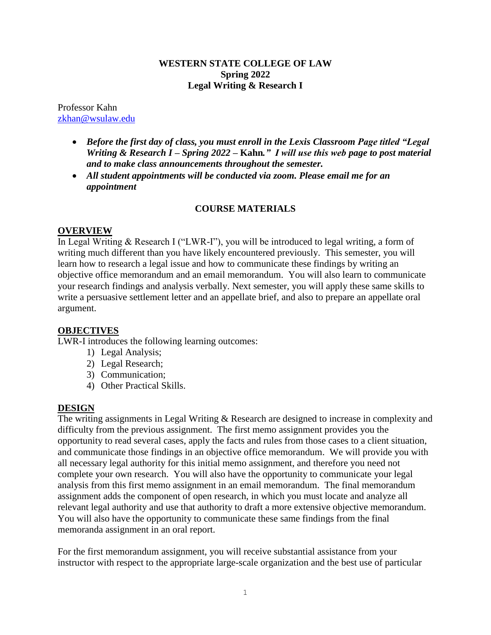#### **WESTERN STATE COLLEGE OF LAW Spring 2022 Legal Writing & Research I**

Professor Kahn [zkhan@wsulaw.edu](mailto:zkhan@wsulaw.edu)

- *Before the first day of class, you must enroll in the Lexis Classroom Page titled "Legal Writing & Research I – Spring 2022 –* **Kahn***." I will use this web page to post material and to make class announcements throughout the semester.*
- *All student appointments will be conducted via zoom. Please email me for an appointment*

### **COURSE MATERIALS**

#### **OVERVIEW**

In Legal Writing & Research I ("LWR-I"), you will be introduced to legal writing, a form of writing much different than you have likely encountered previously. This semester, you will learn how to research a legal issue and how to communicate these findings by writing an objective office memorandum and an email memorandum. You will also learn to communicate your research findings and analysis verbally. Next semester, you will apply these same skills to write a persuasive settlement letter and an appellate brief, and also to prepare an appellate oral argument.

### **OBJECTIVES**

LWR-I introduces the following learning outcomes:

- 1) Legal Analysis;
- 2) Legal Research;
- 3) Communication;
- 4) Other Practical Skills.

### **DESIGN**

The writing assignments in Legal Writing & Research are designed to increase in complexity and difficulty from the previous assignment. The first memo assignment provides you the opportunity to read several cases, apply the facts and rules from those cases to a client situation, and communicate those findings in an objective office memorandum. We will provide you with all necessary legal authority for this initial memo assignment, and therefore you need not complete your own research. You will also have the opportunity to communicate your legal analysis from this first memo assignment in an email memorandum. The final memorandum assignment adds the component of open research, in which you must locate and analyze all relevant legal authority and use that authority to draft a more extensive objective memorandum. You will also have the opportunity to communicate these same findings from the final memoranda assignment in an oral report.

For the first memorandum assignment, you will receive substantial assistance from your instructor with respect to the appropriate large-scale organization and the best use of particular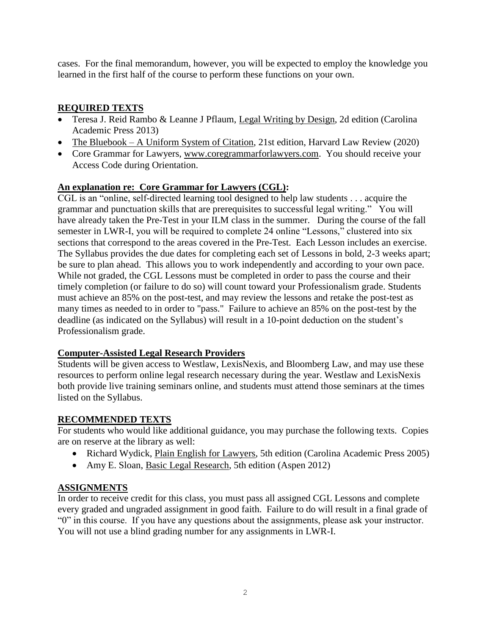cases. For the final memorandum, however, you will be expected to employ the knowledge you learned in the first half of the course to perform these functions on your own.

# **REQUIRED TEXTS**

- Teresa J. Reid Rambo & Leanne J Pflaum, Legal Writing by Design, 2d edition (Carolina Academic Press 2013)
- The Bluebook A Uniform System of Citation, 21st edition, Harvard Law Review (2020)
- Core Grammar for Lawyers, [www.coregrammarforlawyers.com.](http://www.coregrammarforlawyers.com/) You should receive your Access Code during Orientation.

### **An explanation re: Core Grammar for Lawyers (CGL):**

CGL is an "online, self-directed learning tool designed to help law students . . . acquire the grammar and punctuation skills that are prerequisites to successful legal writing." You will have already taken the Pre-Test in your ILM class in the summer. During the course of the fall semester in LWR-I, you will be required to complete 24 online "Lessons," clustered into six sections that correspond to the areas covered in the Pre-Test. Each Lesson includes an exercise. The Syllabus provides the due dates for completing each set of Lessons in bold, 2-3 weeks apart; be sure to plan ahead. This allows you to work independently and according to your own pace. While not graded, the CGL Lessons must be completed in order to pass the course and their timely completion (or failure to do so) will count toward your Professionalism grade. Students must achieve an 85% on the post-test, and may review the lessons and retake the post-test as many times as needed to in order to "pass." Failure to achieve an 85% on the post-test by the deadline (as indicated on the Syllabus) will result in a 10-point deduction on the student's Professionalism grade.

### **Computer-Assisted Legal Research Providers**

Students will be given access to Westlaw, LexisNexis, and Bloomberg Law, and may use these resources to perform online legal research necessary during the year. Westlaw and LexisNexis both provide live training seminars online, and students must attend those seminars at the times listed on the Syllabus.

## **RECOMMENDED TEXTS**

For students who would like additional guidance, you may purchase the following texts. Copies are on reserve at the library as well:

- Richard Wydick, Plain English for Lawyers, 5th edition (Carolina Academic Press 2005)
- Amy E. Sloan, Basic Legal Research, 5th edition (Aspen 2012)

## **ASSIGNMENTS**

In order to receive credit for this class, you must pass all assigned CGL Lessons and complete every graded and ungraded assignment in good faith. Failure to do will result in a final grade of "0" in this course. If you have any questions about the assignments, please ask your instructor. You will not use a blind grading number for any assignments in LWR-I.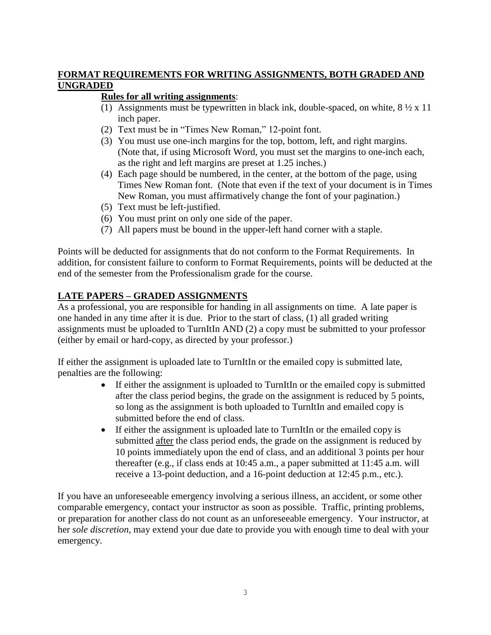### **FORMAT REQUIREMENTS FOR WRITING ASSIGNMENTS, BOTH GRADED AND UNGRADED**

## **Rules for all writing assignments**:

- (1) Assignments must be typewritten in black ink, double-spaced, on white,  $8\frac{1}{2} \times 11$ inch paper.
- (2) Text must be in "Times New Roman," 12-point font.
- (3) You must use one-inch margins for the top, bottom, left, and right margins. (Note that, if using Microsoft Word, you must set the margins to one-inch each, as the right and left margins are preset at 1.25 inches.)
- (4) Each page should be numbered, in the center, at the bottom of the page, using Times New Roman font. (Note that even if the text of your document is in Times New Roman, you must affirmatively change the font of your pagination.)
- (5) Text must be left-justified.
- (6) You must print on only one side of the paper.
- (7) All papers must be bound in the upper-left hand corner with a staple.

Points will be deducted for assignments that do not conform to the Format Requirements. In addition, for consistent failure to conform to Format Requirements, points will be deducted at the end of the semester from the Professionalism grade for the course.

## **LATE PAPERS – GRADED ASSIGNMENTS**

As a professional, you are responsible for handing in all assignments on time. A late paper is one handed in any time after it is due. Prior to the start of class, (1) all graded writing assignments must be uploaded to TurnItIn AND (2) a copy must be submitted to your professor (either by email or hard-copy, as directed by your professor.)

If either the assignment is uploaded late to TurnItIn or the emailed copy is submitted late, penalties are the following:

- If either the assignment is uploaded to TurnItIn or the emailed copy is submitted after the class period begins, the grade on the assignment is reduced by 5 points, so long as the assignment is both uploaded to TurnItIn and emailed copy is submitted before the end of class.
- If either the assignment is uploaded late to TurnItIn or the emailed copy is submitted after the class period ends, the grade on the assignment is reduced by 10 points immediately upon the end of class, and an additional 3 points per hour thereafter (e.g., if class ends at 10:45 a.m., a paper submitted at 11:45 a.m. will receive a 13-point deduction, and a 16-point deduction at 12:45 p.m., etc.).

If you have an unforeseeable emergency involving a serious illness, an accident, or some other comparable emergency, contact your instructor as soon as possible. Traffic, printing problems, or preparation for another class do not count as an unforeseeable emergency.Your instructor, at her *sole discretion*, may extend your due date to provide you with enough time to deal with your emergency.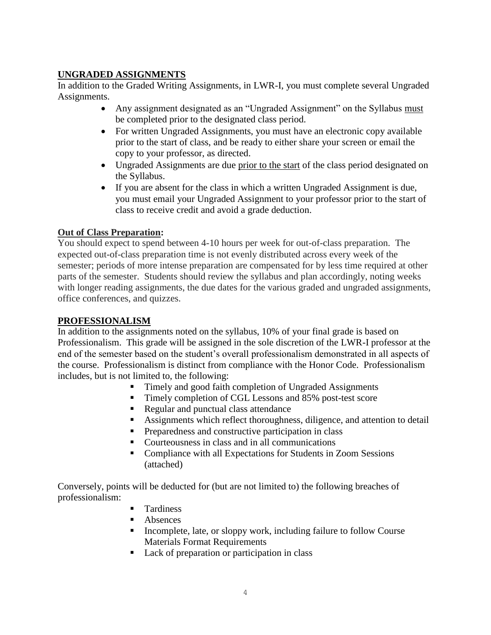### **UNGRADED ASSIGNMENTS**

In addition to the Graded Writing Assignments, in LWR-I, you must complete several Ungraded Assignments.

- Any assignment designated as an "Ungraded Assignment" on the Syllabus must be completed prior to the designated class period.
- For written Ungraded Assignments, you must have an electronic copy available prior to the start of class, and be ready to either share your screen or email the copy to your professor, as directed.
- Ungraded Assignments are due prior to the start of the class period designated on the Syllabus.
- If you are absent for the class in which a written Ungraded Assignment is due, you must email your Ungraded Assignment to your professor prior to the start of class to receive credit and avoid a grade deduction.

### **Out of Class Preparation:**

You should expect to spend between 4-10 hours per week for out-of-class preparation. The expected out-of-class preparation time is not evenly distributed across every week of the semester; periods of more intense preparation are compensated for by less time required at other parts of the semester. Students should review the syllabus and plan accordingly, noting weeks with longer reading assignments, the due dates for the various graded and ungraded assignments, office conferences, and quizzes.

### **PROFESSIONALISM**

In addition to the assignments noted on the syllabus, 10% of your final grade is based on Professionalism. This grade will be assigned in the sole discretion of the LWR-I professor at the end of the semester based on the student's overall professionalism demonstrated in all aspects of the course. Professionalism is distinct from compliance with the Honor Code. Professionalism includes, but is not limited to, the following:

- Timely and good faith completion of Ungraded Assignments
- Timely completion of CGL Lessons and 85% post-test score
- Regular and punctual class attendance
- Assignments which reflect thoroughness, diligence, and attention to detail
- **Preparedness and constructive participation in class**
- Courteousness in class and in all communications
- Compliance with all Expectations for Students in Zoom Sessions (attached)

Conversely, points will be deducted for (but are not limited to) the following breaches of professionalism:

- **Tardiness**
- Absences
- Incomplete, late, or sloppy work, including failure to follow Course Materials Format Requirements
- Lack of preparation or participation in class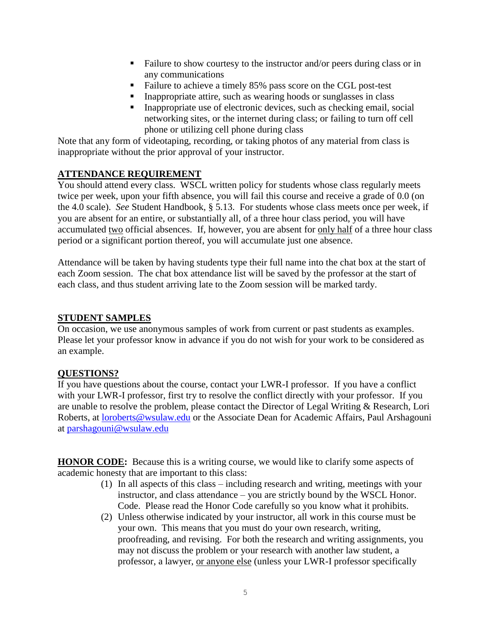- Failure to show courtesy to the instructor and/or peers during class or in any communications
- Failure to achieve a timely 85% pass score on the CGL post-test
- Inappropriate attire, such as wearing hoods or sunglasses in class
- $\blacksquare$  Inappropriate use of electronic devices, such as checking email, social networking sites, or the internet during class; or failing to turn off cell phone or utilizing cell phone during class

Note that any form of videotaping, recording, or taking photos of any material from class is inappropriate without the prior approval of your instructor.

### **ATTENDANCE REQUIREMENT**

You should attend every class. WSCL written policy for students whose class regularly meets twice per week, upon your fifth absence, you will fail this course and receive a grade of 0.0 (on the 4.0 scale). *See* Student Handbook, § 5.13. For students whose class meets once per week, if you are absent for an entire, or substantially all, of a three hour class period, you will have accumulated two official absences. If, however, you are absent for only half of a three hour class period or a significant portion thereof, you will accumulate just one absence.

Attendance will be taken by having students type their full name into the chat box at the start of each Zoom session. The chat box attendance list will be saved by the professor at the start of each class, and thus student arriving late to the Zoom session will be marked tardy.

#### **STUDENT SAMPLES**

On occasion, we use anonymous samples of work from current or past students as examples. Please let your professor know in advance if you do not wish for your work to be considered as an example.

### **QUESTIONS?**

If you have questions about the course, contact your LWR-I professor. If you have a conflict with your LWR-I professor, first try to resolve the conflict directly with your professor. If you are unable to resolve the problem, please contact the Director of Legal Writing & Research, Lori Roberts, at [loroberts@wsulaw.edu](mailto:loroberts@wsulaw.edu) or the Associate Dean for Academic Affairs, Paul Arshagouni at [parshagouni@wsulaw.edu](mailto:parshagouni@wsulaw.edu)

**HONOR CODE:** Because this is a writing course, we would like to clarify some aspects of academic honesty that are important to this class:

- (1) In all aspects of this class including research and writing, meetings with your instructor, and class attendance – you are strictly bound by the WSCL Honor. Code. Please read the Honor Code carefully so you know what it prohibits.
- (2) Unless otherwise indicated by your instructor, all work in this course must be your own. This means that you must do your own research, writing, proofreading, and revising. For both the research and writing assignments, you may not discuss the problem or your research with another law student, a professor, a lawyer, or anyone else (unless your LWR-I professor specifically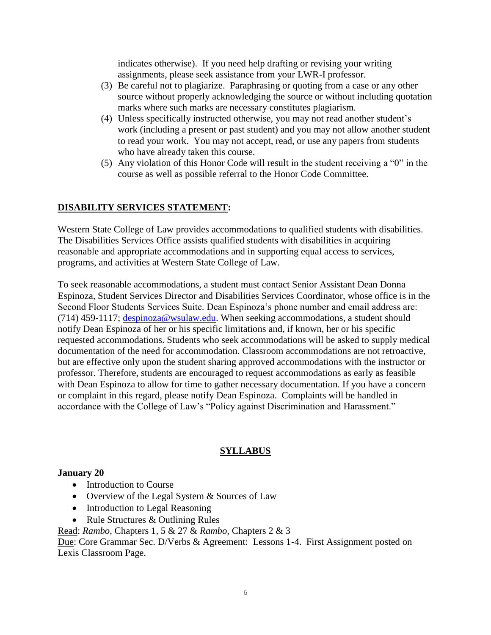indicates otherwise). If you need help drafting or revising your writing assignments, please seek assistance from your LWR-I professor.

- (3) Be careful not to plagiarize. Paraphrasing or quoting from a case or any other source without properly acknowledging the source or without including quotation marks where such marks are necessary constitutes plagiarism.
- (4) Unless specifically instructed otherwise, you may not read another student's work (including a present or past student) and you may not allow another student to read your work. You may not accept, read, or use any papers from students who have already taken this course.
- (5) Any violation of this Honor Code will result in the student receiving a "0" in the course as well as possible referral to the Honor Code Committee.

### **DISABILITY SERVICES STATEMENT:**

Western State College of Law provides accommodations to qualified students with disabilities. The Disabilities Services Office assists qualified students with disabilities in acquiring reasonable and appropriate accommodations and in supporting equal access to services, programs, and activities at Western State College of Law.

To seek reasonable accommodations, a student must contact Senior Assistant Dean Donna Espinoza, Student Services Director and Disabilities Services Coordinator, whose office is in the Second Floor Students Services Suite. Dean Espinoza's phone number and email address are: (714) 459-1117; [despinoza@wsulaw.edu.](https://email.edmc.edu/OWA/redir.aspx?C=yQra1LQWr0mUS2kXua3NKtkJJnwxadJIBEddnuOHJAr-f5YyX5Wzvx1cEaAFaHZRMWU1iUiov-4.&URL=mailto%3adespinoza%40wsulaw.edu) When seeking accommodations, a student should notify Dean Espinoza of her or his specific limitations and, if known, her or his specific requested accommodations. Students who seek accommodations will be asked to supply medical documentation of the need for accommodation. Classroom accommodations are not retroactive, but are effective only upon the student sharing approved accommodations with the instructor or professor. Therefore, students are encouraged to request accommodations as early as feasible with Dean Espinoza to allow for time to gather necessary documentation. If you have a concern or complaint in this regard, please notify Dean Espinoza. Complaints will be handled in accordance with the College of Law's "Policy against Discrimination and Harassment."

### **SYLLABUS**

### **January 20**

- Introduction to Course
- Overview of the Legal System & Sources of Law
- Introduction to Legal Reasoning
- Rule Structures & Outlining Rules
- Read: *Rambo,* Chapters 1, 5 & 27 & *Rambo,* Chapters 2 & 3

Due: Core Grammar Sec. D/Verbs & Agreement: Lessons 1-4. First Assignment posted on Lexis Classroom Page.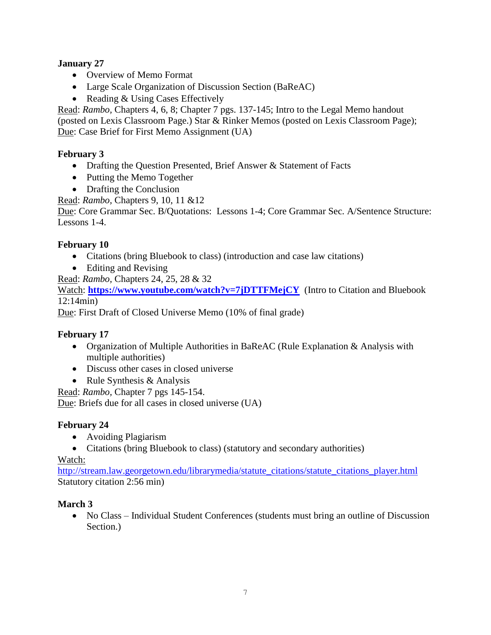## **January 27**

- Overview of Memo Format
- Large Scale Organization of Discussion Section (BaReAC)
- Reading & Using Cases Effectively

Read: *Rambo,* Chapters 4, 6, 8; Chapter 7 pgs. 137-145; Intro to the Legal Memo handout (posted on Lexis Classroom Page.) Star & Rinker Memos (posted on Lexis Classroom Page); Due: Case Brief for First Memo Assignment (UA)

## **February 3**

- Drafting the Question Presented, Brief Answer & Statement of Facts
- Putting the Memo Together
- Drafting the Conclusion

Read: *Rambo,* Chapters 9, 10, 11 &12

Due: Core Grammar Sec. B/Quotations: Lessons 1-4; Core Grammar Sec. A/Sentence Structure: Lessons 1-4.

### **February 10**

- Citations (bring Bluebook to class) (introduction and case law citations)
- Editing and Revising

Read: *Rambo,* Chapters 24, 25, 28 & 32

Watch: <https://www.youtube.com/watch?v=7jDTTFMejCY>(Intro to Citation and Bluebook 12:14min)

Due: First Draft of Closed Universe Memo (10% of final grade)

### **February 17**

- Organization of Multiple Authorities in BaReAC (Rule Explanation & Analysis with multiple authorities)
- Discuss other cases in closed universe
- Rule Synthesis & Analysis

Read: *Rambo,* Chapter 7 pgs 145-154.

Due: Briefs due for all cases in closed universe (UA)

### **February 24**

- Avoiding Plagiarism
- Citations (bring Bluebook to class) (statutory and secondary authorities)

### Watch:

[http://stream.law.georgetown.edu/librarymedia/statute\\_citations/statute\\_citations\\_player.html](http://stream.law.georgetown.edu/librarymedia/statute_citations/statute_citations_player.html) Statutory citation 2:56 min)

### **March 3**

• No Class – Individual Student Conferences (students must bring an outline of Discussion Section.)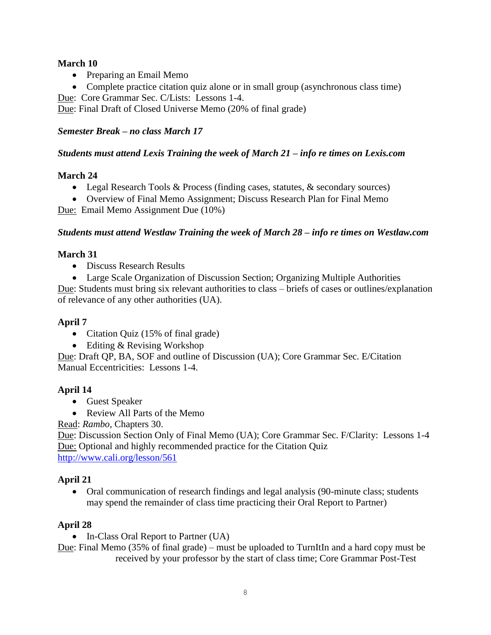### **March 10**

- Preparing an Email Memo
- Complete practice citation quiz alone or in small group (asynchronous class time)

Due: Core Grammar Sec. C/Lists: Lessons 1-4.

Due: Final Draft of Closed Universe Memo (20% of final grade)

### *Semester Break – no class March 17*

### *Students must attend Lexis Training the week of March 21* **–** *info re times on Lexis.com*

### **March 24**

- Legal Research Tools & Process (finding cases, statutes, & secondary sources)
- Overview of Final Memo Assignment; Discuss Research Plan for Final Memo

Due: Email Memo Assignment Due (10%)

### *Students must attend Westlaw Training the week of March 28 – info re times on Westlaw.com*

### **March 31**

• Discuss Research Results

 Large Scale Organization of Discussion Section; Organizing Multiple Authorities Due: Students must bring six relevant authorities to class – briefs of cases or outlines/explanation of relevance of any other authorities (UA).

### **April 7**

- Citation Quiz (15% of final grade)
- Editing & Revising Workshop

Due: Draft QP, BA, SOF and outline of Discussion (UA); Core Grammar Sec. E/Citation Manual Eccentricities: Lessons 1-4.

## **April 14**

- Guest Speaker
- Review All Parts of the Memo

Read: *Rambo,* Chapters 30.

Due: Discussion Section Only of Final Memo (UA); Core Grammar Sec. F/Clarity: Lessons 1-4 Due: Optional and highly recommended practice for the Citation Quiz <http://www.cali.org/lesson/561>

## **April 21**

• Oral communication of research findings and legal analysis (90-minute class; students may spend the remainder of class time practicing their Oral Report to Partner)

## **April 28**

• In-Class Oral Report to Partner (UA)

Due: Final Memo (35% of final grade) – must be uploaded to TurnItIn and a hard copy must be received by your professor by the start of class time; Core Grammar Post-Test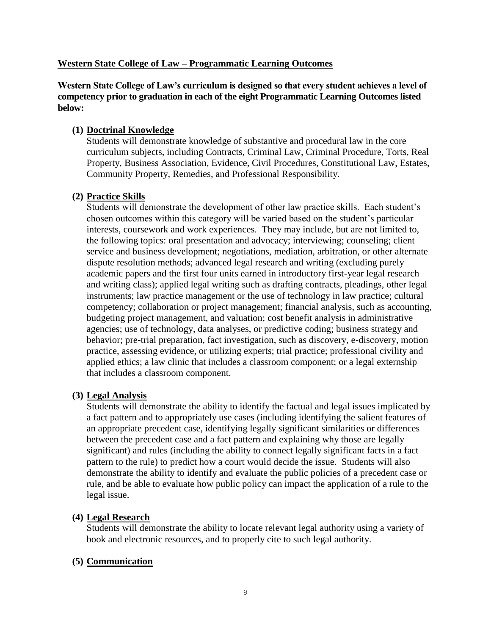#### **Western State College of Law – Programmatic Learning Outcomes**

**Western State College of Law's curriculum is designed so that every student achieves a level of competency prior to graduation in each of the eight Programmatic Learning Outcomes listed below:**

#### **(1) Doctrinal Knowledge**

Students will demonstrate knowledge of substantive and procedural law in the core curriculum subjects, including Contracts, Criminal Law, Criminal Procedure, Torts, Real Property, Business Association, Evidence, Civil Procedures, Constitutional Law, Estates, Community Property, Remedies, and Professional Responsibility.

#### **(2) Practice Skills**

Students will demonstrate the development of other law practice skills. Each student's chosen outcomes within this category will be varied based on the student's particular interests, coursework and work experiences. They may include, but are not limited to, the following topics: oral presentation and advocacy; interviewing; counseling; client service and business development; negotiations, mediation, arbitration, or other alternate dispute resolution methods; advanced legal research and writing (excluding purely academic papers and the first four units earned in introductory first-year legal research and writing class); applied legal writing such as drafting contracts, pleadings, other legal instruments; law practice management or the use of technology in law practice; cultural competency; collaboration or project management; financial analysis, such as accounting, budgeting project management, and valuation; cost benefit analysis in administrative agencies; use of technology, data analyses, or predictive coding; business strategy and behavior; pre-trial preparation, fact investigation, such as discovery, e-discovery, motion practice, assessing evidence, or utilizing experts; trial practice; professional civility and applied ethics; a law clinic that includes a classroom component; or a legal externship that includes a classroom component.

#### **(3) Legal Analysis**

Students will demonstrate the ability to identify the factual and legal issues implicated by a fact pattern and to appropriately use cases (including identifying the salient features of an appropriate precedent case, identifying legally significant similarities or differences between the precedent case and a fact pattern and explaining why those are legally significant) and rules (including the ability to connect legally significant facts in a fact pattern to the rule) to predict how a court would decide the issue. Students will also demonstrate the ability to identify and evaluate the public policies of a precedent case or rule, and be able to evaluate how public policy can impact the application of a rule to the legal issue.

#### **(4) Legal Research**

Students will demonstrate the ability to locate relevant legal authority using a variety of book and electronic resources, and to properly cite to such legal authority.

#### **(5) Communication**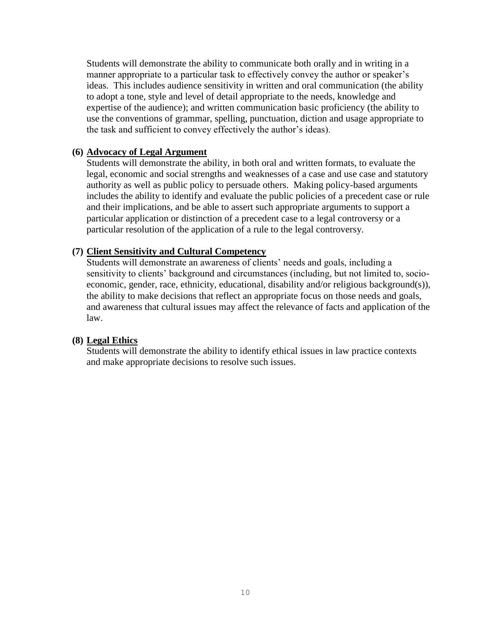Students will demonstrate the ability to communicate both orally and in writing in a manner appropriate to a particular task to effectively convey the author or speaker's ideas. This includes audience sensitivity in written and oral communication (the ability to adopt a tone, style and level of detail appropriate to the needs, knowledge and expertise of the audience); and written communication basic proficiency (the ability to use the conventions of grammar, spelling, punctuation, diction and usage appropriate to the task and sufficient to convey effectively the author's ideas).

#### **(6) Advocacy of Legal Argument**

Students will demonstrate the ability, in both oral and written formats, to evaluate the legal, economic and social strengths and weaknesses of a case and use case and statutory authority as well as public policy to persuade others. Making policy-based arguments includes the ability to identify and evaluate the public policies of a precedent case or rule and their implications, and be able to assert such appropriate arguments to support a particular application or distinction of a precedent case to a legal controversy or a particular resolution of the application of a rule to the legal controversy.

#### **(7) Client Sensitivity and Cultural Competency**

Students will demonstrate an awareness of clients' needs and goals, including a sensitivity to clients' background and circumstances (including, but not limited to, socioeconomic, gender, race, ethnicity, educational, disability and/or religious background(s)), the ability to make decisions that reflect an appropriate focus on those needs and goals, and awareness that cultural issues may affect the relevance of facts and application of the law.

#### **(8) Legal Ethics**

Students will demonstrate the ability to identify ethical issues in law practice contexts and make appropriate decisions to resolve such issues.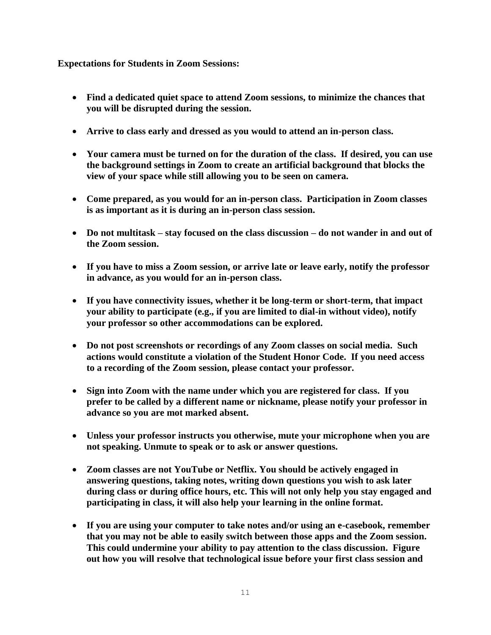#### **Expectations for Students in Zoom Sessions:**

- **Find a dedicated quiet space to attend Zoom sessions, to minimize the chances that you will be disrupted during the session.**
- **Arrive to class early and dressed as you would to attend an in-person class.**
- **Your camera must be turned on for the duration of the class. If desired, you can use the background settings in Zoom to create an artificial background that blocks the view of your space while still allowing you to be seen on camera.**
- **Come prepared, as you would for an in-person class. Participation in Zoom classes is as important as it is during an in-person class session.**
- **Do not multitask – stay focused on the class discussion – do not wander in and out of the Zoom session.**
- **If you have to miss a Zoom session, or arrive late or leave early, notify the professor in advance, as you would for an in-person class.**
- **If you have connectivity issues, whether it be long-term or short-term, that impact your ability to participate (e.g., if you are limited to dial-in without video), notify your professor so other accommodations can be explored.**
- **Do not post screenshots or recordings of any Zoom classes on social media. Such actions would constitute a violation of the Student Honor Code. If you need access to a recording of the Zoom session, please contact your professor.**
- **Sign into Zoom with the name under which you are registered for class. If you prefer to be called by a different name or nickname, please notify your professor in advance so you are mot marked absent.**
- **Unless your professor instructs you otherwise, mute your microphone when you are not speaking. Unmute to speak or to ask or answer questions.**
- **Zoom classes are not YouTube or Netflix. You should be actively engaged in answering questions, taking notes, writing down questions you wish to ask later during class or during office hours, etc. This will not only help you stay engaged and participating in class, it will also help your learning in the online format.**
- **If you are using your computer to take notes and/or using an e-casebook, remember that you may not be able to easily switch between those apps and the Zoom session. This could undermine your ability to pay attention to the class discussion. Figure out how you will resolve that technological issue before your first class session and**